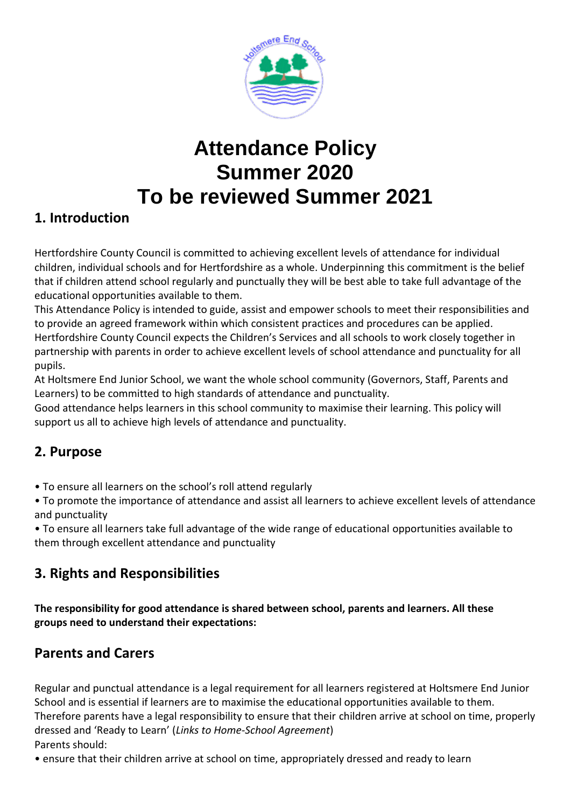

# **Attendance Policy Summer 2020 To be reviewed Summer 2021**

# **1. Introduction**

Hertfordshire County Council is committed to achieving excellent levels of attendance for individual children, individual schools and for Hertfordshire as a whole. Underpinning this commitment is the belief that if children attend school regularly and punctually they will be best able to take full advantage of the educational opportunities available to them.

This Attendance Policy is intended to guide, assist and empower schools to meet their responsibilities and to provide an agreed framework within which consistent practices and procedures can be applied. Hertfordshire County Council expects the Children's Services and all schools to work closely together in partnership with parents in order to achieve excellent levels of school attendance and punctuality for all pupils.

At Holtsmere End Junior School, we want the whole school community (Governors, Staff, Parents and Learners) to be committed to high standards of attendance and punctuality.

Good attendance helps learners in this school community to maximise their learning. This policy will support us all to achieve high levels of attendance and punctuality.

# **2. Purpose**

• To ensure all learners on the school's roll attend regularly

• To promote the importance of attendance and assist all learners to achieve excellent levels of attendance and punctuality

• To ensure all learners take full advantage of the wide range of educational opportunities available to them through excellent attendance and punctuality

# **3. Rights and Responsibilities**

**The responsibility for good attendance is shared between school, parents and learners. All these groups need to understand their expectations:**

# **Parents and Carers**

Regular and punctual attendance is a legal requirement for all learners registered at Holtsmere End Junior School and is essential if learners are to maximise the educational opportunities available to them. Therefore parents have a legal responsibility to ensure that their children arrive at school on time, properly dressed and 'Ready to Learn' (*Links to Home-School Agreement*) Parents should:

• ensure that their children arrive at school on time, appropriately dressed and ready to learn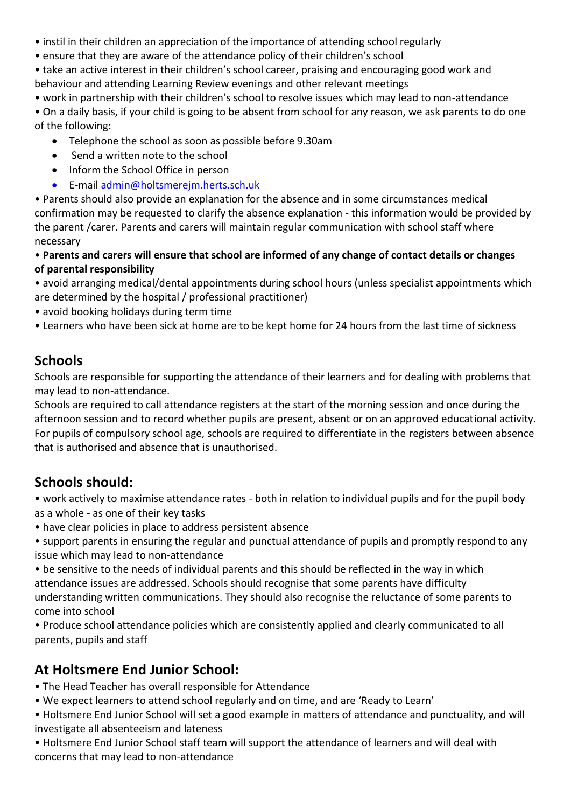- instil in their children an appreciation of the importance of attending school regularly
- ensure that they are aware of the attendance policy of their children's school
- take an active interest in their children's school career, praising and encouraging good work and behaviour and attending Learning Review evenings and other relevant meetings
- work in partnership with their children's school to resolve issues which may lead to non-attendance
- On a daily basis, if your child is going to be absent from school for any reason, we ask parents to do one of the following:
	- Telephone the school as soon as possible before 9.30am
	- Send a written note to the school
	- Inform the School Office in person
	- E-mail admin@holtsmerejm.herts.sch.uk
- Parents should also provide an explanation for the absence and in some circumstances medical confirmation may be requested to clarify the absence explanation - this information would be provided by the parent /carer. Parents and carers will maintain regular communication with school staff where necessary
- **Parents and carers will ensure that school are informed of any change of contact details or changes of parental responsibility**
- avoid arranging medical/dental appointments during school hours (unless specialist appointments which are determined by the hospital / professional practitioner)
- avoid booking holidays during term time
- Learners who have been sick at home are to be kept home for 24 hours from the last time of sickness

#### **Schools**

Schools are responsible for supporting the attendance of their learners and for dealing with problems that may lead to non-attendance.

Schools are required to call attendance registers at the start of the morning session and once during the afternoon session and to record whether pupils are present, absent or on an approved educational activity. For pupils of compulsory school age, schools are required to differentiate in the registers between absence that is authorised and absence that is unauthorised.

#### **Schools should:**

• work actively to maximise attendance rates - both in relation to individual pupils and for the pupil body as a whole - as one of their key tasks

- have clear policies in place to address persistent absence
- support parents in ensuring the regular and punctual attendance of pupils and promptly respond to any issue which may lead to non-attendance
- be sensitive to the needs of individual parents and this should be reflected in the way in which attendance issues are addressed. Schools should recognise that some parents have difficulty understanding written communications. They should also recognise the reluctance of some parents to come into school
- Produce school attendance policies which are consistently applied and clearly communicated to all parents, pupils and staff

#### **At Holtsmere End Junior School:**

- The Head Teacher has overall responsible for Attendance
- We expect learners to attend school regularly and on time, and are 'Ready to Learn'
- Holtsmere End Junior School will set a good example in matters of attendance and punctuality, and will investigate all absenteeism and lateness
- Holtsmere End Junior School staff team will support the attendance of learners and will deal with concerns that may lead to non-attendance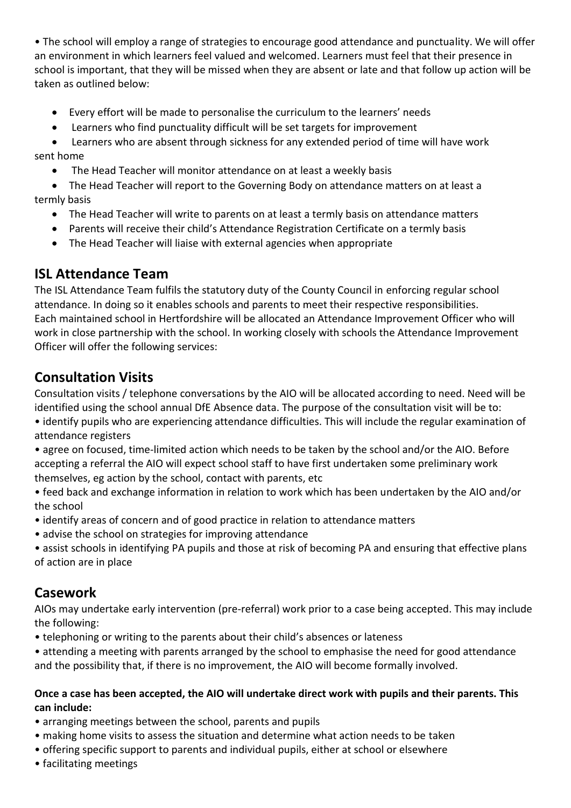• The school will employ a range of strategies to encourage good attendance and punctuality. We will offer an environment in which learners feel valued and welcomed. Learners must feel that their presence in school is important, that they will be missed when they are absent or late and that follow up action will be taken as outlined below:

- Every effort will be made to personalise the curriculum to the learners' needs
- Learners who find punctuality difficult will be set targets for improvement

 Learners who are absent through sickness for any extended period of time will have work sent home

The Head Teacher will monitor attendance on at least a weekly basis

 The Head Teacher will report to the Governing Body on attendance matters on at least a termly basis

- The Head Teacher will write to parents on at least a termly basis on attendance matters
- Parents will receive their child's Attendance Registration Certificate on a termly basis
- The Head Teacher will liaise with external agencies when appropriate

#### **ISL Attendance Team**

The ISL Attendance Team fulfils the statutory duty of the County Council in enforcing regular school attendance. In doing so it enables schools and parents to meet their respective responsibilities. Each maintained school in Hertfordshire will be allocated an Attendance Improvement Officer who will work in close partnership with the school. In working closely with schools the Attendance Improvement Officer will offer the following services:

# **Consultation Visits**

Consultation visits / telephone conversations by the AIO will be allocated according to need. Need will be identified using the school annual DfE Absence data. The purpose of the consultation visit will be to:

• identify pupils who are experiencing attendance difficulties. This will include the regular examination of attendance registers

• agree on focused, time-limited action which needs to be taken by the school and/or the AIO. Before accepting a referral the AIO will expect school staff to have first undertaken some preliminary work themselves, eg action by the school, contact with parents, etc

• feed back and exchange information in relation to work which has been undertaken by the AIO and/or the school

- identify areas of concern and of good practice in relation to attendance matters
- advise the school on strategies for improving attendance
- assist schools in identifying PA pupils and those at risk of becoming PA and ensuring that effective plans of action are in place

#### **Casework**

AIOs may undertake early intervention (pre-referral) work prior to a case being accepted. This may include the following:

- telephoning or writing to the parents about their child's absences or lateness
- attending a meeting with parents arranged by the school to emphasise the need for good attendance and the possibility that, if there is no improvement, the AIO will become formally involved.

#### **Once a case has been accepted, the AIO will undertake direct work with pupils and their parents. This can include:**

- arranging meetings between the school, parents and pupils
- making home visits to assess the situation and determine what action needs to be taken
- offering specific support to parents and individual pupils, either at school or elsewhere
- facilitating meetings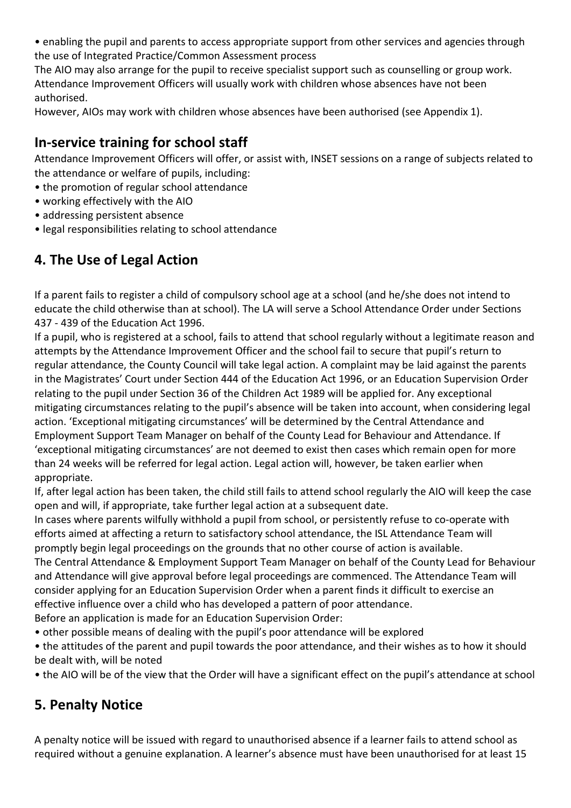• enabling the pupil and parents to access appropriate support from other services and agencies through the use of Integrated Practice/Common Assessment process

The AIO may also arrange for the pupil to receive specialist support such as counselling or group work. Attendance Improvement Officers will usually work with children whose absences have not been authorised.

However, AIOs may work with children whose absences have been authorised (see Appendix 1).

## **In-service training for school staff**

Attendance Improvement Officers will offer, or assist with, INSET sessions on a range of subjects related to the attendance or welfare of pupils, including:

- the promotion of regular school attendance
- working effectively with the AIO
- addressing persistent absence
- legal responsibilities relating to school attendance

# **4. The Use of Legal Action**

If a parent fails to register a child of compulsory school age at a school (and he/she does not intend to educate the child otherwise than at school). The LA will serve a School Attendance Order under Sections 437 - 439 of the Education Act 1996.

If a pupil, who is registered at a school, fails to attend that school regularly without a legitimate reason and attempts by the Attendance Improvement Officer and the school fail to secure that pupil's return to regular attendance, the County Council will take legal action. A complaint may be laid against the parents in the Magistrates' Court under Section 444 of the Education Act 1996, or an Education Supervision Order relating to the pupil under Section 36 of the Children Act 1989 will be applied for. Any exceptional mitigating circumstances relating to the pupil's absence will be taken into account, when considering legal action. 'Exceptional mitigating circumstances' will be determined by the Central Attendance and Employment Support Team Manager on behalf of the County Lead for Behaviour and Attendance. If 'exceptional mitigating circumstances' are not deemed to exist then cases which remain open for more than 24 weeks will be referred for legal action. Legal action will, however, be taken earlier when appropriate.

If, after legal action has been taken, the child still fails to attend school regularly the AIO will keep the case open and will, if appropriate, take further legal action at a subsequent date.

In cases where parents wilfully withhold a pupil from school, or persistently refuse to co-operate with efforts aimed at affecting a return to satisfactory school attendance, the ISL Attendance Team will promptly begin legal proceedings on the grounds that no other course of action is available.

The Central Attendance & Employment Support Team Manager on behalf of the County Lead for Behaviour and Attendance will give approval before legal proceedings are commenced. The Attendance Team will consider applying for an Education Supervision Order when a parent finds it difficult to exercise an effective influence over a child who has developed a pattern of poor attendance. Before an application is made for an Education Supervision Order:

• other possible means of dealing with the pupil's poor attendance will be explored

• the attitudes of the parent and pupil towards the poor attendance, and their wishes as to how it should be dealt with, will be noted

• the AIO will be of the view that the Order will have a significant effect on the pupil's attendance at school

# **5. Penalty Notice**

A penalty notice will be issued with regard to unauthorised absence if a learner fails to attend school as required without a genuine explanation. A learner's absence must have been unauthorised for at least 15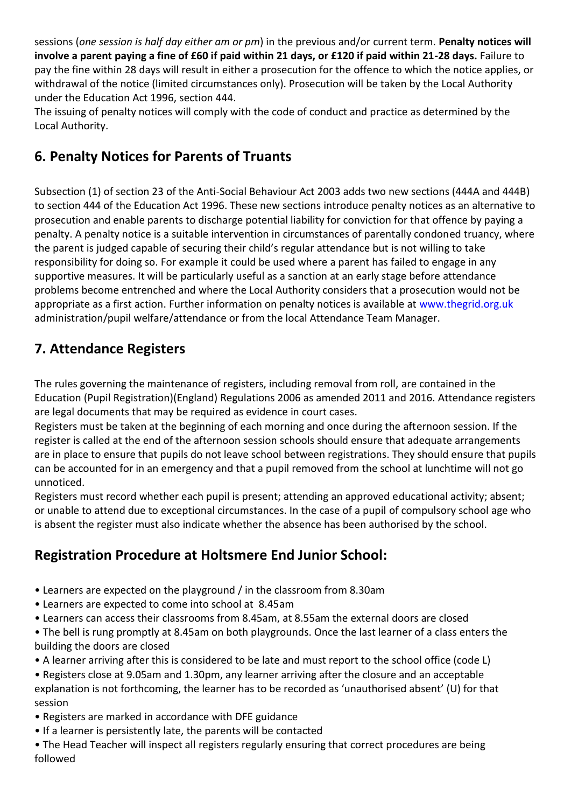sessions (*one session is half day either am or pm*) in the previous and/or current term. **Penalty notices will involve a parent paying a fine of £60 if paid within 21 days, or £120 if paid within 21-28 days.** Failure to pay the fine within 28 days will result in either a prosecution for the offence to which the notice applies, or withdrawal of the notice (limited circumstances only). Prosecution will be taken by the Local Authority under the Education Act 1996, section 444.

The issuing of penalty notices will comply with the code of conduct and practice as determined by the Local Authority.

## **6. Penalty Notices for Parents of Truants**

Subsection (1) of section 23 of the Anti-Social Behaviour Act 2003 adds two new sections (444A and 444B) to section 444 of the Education Act 1996. These new sections introduce penalty notices as an alternative to prosecution and enable parents to discharge potential liability for conviction for that offence by paying a penalty. A penalty notice is a suitable intervention in circumstances of parentally condoned truancy, where the parent is judged capable of securing their child's regular attendance but is not willing to take responsibility for doing so. For example it could be used where a parent has failed to engage in any supportive measures. It will be particularly useful as a sanction at an early stage before attendance problems become entrenched and where the Local Authority considers that a prosecution would not be appropriate as a first action. Further information on penalty notices is available at www.thegrid.org.uk administration/pupil welfare/attendance or from the local Attendance Team Manager.

# **7. Attendance Registers**

The rules governing the maintenance of registers, including removal from roll, are contained in the Education (Pupil Registration)(England) Regulations 2006 as amended 2011 and 2016. Attendance registers are legal documents that may be required as evidence in court cases.

Registers must be taken at the beginning of each morning and once during the afternoon session. If the register is called at the end of the afternoon session schools should ensure that adequate arrangements are in place to ensure that pupils do not leave school between registrations. They should ensure that pupils can be accounted for in an emergency and that a pupil removed from the school at lunchtime will not go unnoticed.

Registers must record whether each pupil is present; attending an approved educational activity; absent; or unable to attend due to exceptional circumstances. In the case of a pupil of compulsory school age who is absent the register must also indicate whether the absence has been authorised by the school.

# **Registration Procedure at Holtsmere End Junior School:**

- Learners are expected on the playground / in the classroom from 8.30am
- Learners are expected to come into school at 8.45am
- Learners can access their classrooms from 8.45am, at 8.55am the external doors are closed
- The bell is rung promptly at 8.45am on both playgrounds. Once the last learner of a class enters the building the doors are closed
- A learner arriving after this is considered to be late and must report to the school office (code L)
- Registers close at 9.05am and 1.30pm, any learner arriving after the closure and an acceptable explanation is not forthcoming, the learner has to be recorded as 'unauthorised absent' (U) for that session
- Registers are marked in accordance with DFE guidance
- If a learner is persistently late, the parents will be contacted
- The Head Teacher will inspect all registers regularly ensuring that correct procedures are being followed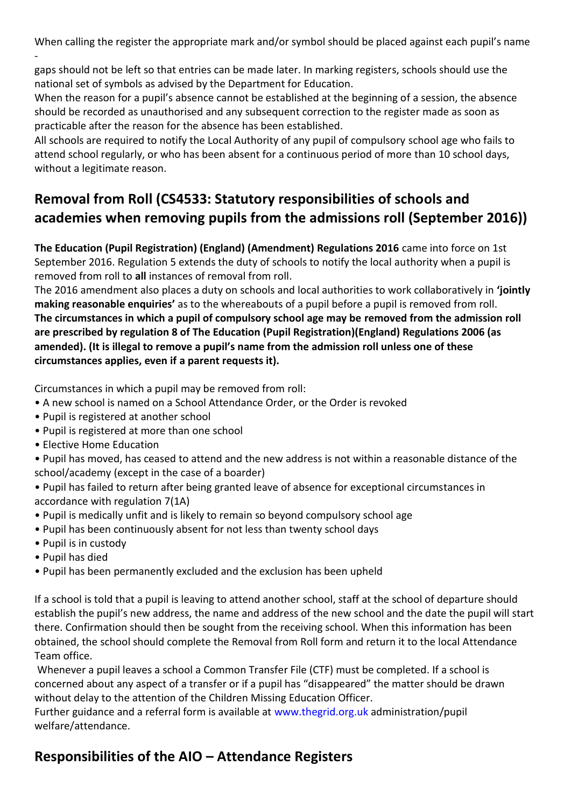When calling the register the appropriate mark and/or symbol should be placed against each pupil's name

 gaps should not be left so that entries can be made later. In marking registers, schools should use the national set of symbols as advised by the Department for Education.

When the reason for a pupil's absence cannot be established at the beginning of a session, the absence should be recorded as unauthorised and any subsequent correction to the register made as soon as practicable after the reason for the absence has been established.

All schools are required to notify the Local Authority of any pupil of compulsory school age who fails to attend school regularly, or who has been absent for a continuous period of more than 10 school days, without a legitimate reason.

# **Removal from Roll (CS4533: Statutory responsibilities of schools and academies when removing pupils from the admissions roll (September 2016))**

**The Education (Pupil Registration) (England) (Amendment) Regulations 2016** came into force on 1st September 2016. Regulation 5 extends the duty of schools to notify the local authority when a pupil is removed from roll to **all** instances of removal from roll.

The 2016 amendment also places a duty on schools and local authorities to work collaboratively in **'jointly making reasonable enquiries'** as to the whereabouts of a pupil before a pupil is removed from roll. **The circumstances in which a pupil of compulsory school age may be removed from the admission roll are prescribed by regulation 8 of The Education (Pupil Registration)(England) Regulations 2006 (as amended). (It is illegal to remove a pupil's name from the admission roll unless one of these circumstances applies, even if a parent requests it).**

Circumstances in which a pupil may be removed from roll:

- A new school is named on a School Attendance Order, or the Order is revoked
- Pupil is registered at another school
- Pupil is registered at more than one school
- Elective Home Education
- Pupil has moved, has ceased to attend and the new address is not within a reasonable distance of the school/academy (except in the case of a boarder)
- Pupil has failed to return after being granted leave of absence for exceptional circumstances in accordance with regulation 7(1A)
- Pupil is medically unfit and is likely to remain so beyond compulsory school age
- Pupil has been continuously absent for not less than twenty school days
- Pupil is in custody
- Pupil has died
- Pupil has been permanently excluded and the exclusion has been upheld

If a school is told that a pupil is leaving to attend another school, staff at the school of departure should establish the pupil's new address, the name and address of the new school and the date the pupil will start there. Confirmation should then be sought from the receiving school. When this information has been obtained, the school should complete the Removal from Roll form and return it to the local Attendance Team office.

Whenever a pupil leaves a school a Common Transfer File (CTF) must be completed. If a school is concerned about any aspect of a transfer or if a pupil has "disappeared" the matter should be drawn without delay to the attention of the Children Missing Education Officer.

Further guidance and a referral form is available at www.thegrid.org.uk administration/pupil welfare/attendance.

#### **Responsibilities of the AIO – Attendance Registers**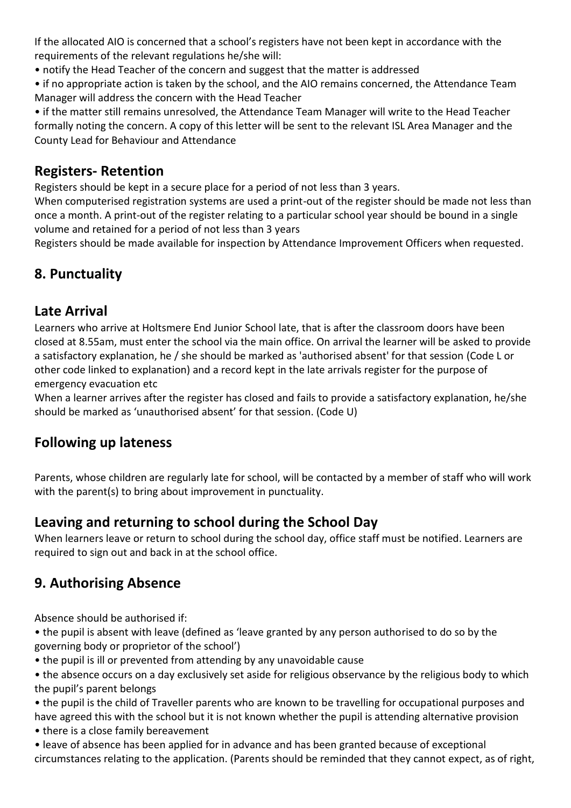If the allocated AIO is concerned that a school's registers have not been kept in accordance with the requirements of the relevant regulations he/she will:

- notify the Head Teacher of the concern and suggest that the matter is addressed
- if no appropriate action is taken by the school, and the AIO remains concerned, the Attendance Team Manager will address the concern with the Head Teacher

• if the matter still remains unresolved, the Attendance Team Manager will write to the Head Teacher formally noting the concern. A copy of this letter will be sent to the relevant ISL Area Manager and the County Lead for Behaviour and Attendance

#### **Registers- Retention**

Registers should be kept in a secure place for a period of not less than 3 years.

When computerised registration systems are used a print-out of the register should be made not less than once a month. A print-out of the register relating to a particular school year should be bound in a single volume and retained for a period of not less than 3 years

Registers should be made available for inspection by Attendance Improvement Officers when requested.

# **8. Punctuality**

#### **Late Arrival**

Learners who arrive at Holtsmere End Junior School late, that is after the classroom doors have been closed at 8.55am, must enter the school via the main office. On arrival the learner will be asked to provide a satisfactory explanation, he / she should be marked as 'authorised absent' for that session (Code L or other code linked to explanation) and a record kept in the late arrivals register for the purpose of emergency evacuation etc

When a learner arrives after the register has closed and fails to provide a satisfactory explanation, he/she should be marked as 'unauthorised absent' for that session. (Code U)

#### **Following up lateness**

Parents, whose children are regularly late for school, will be contacted by a member of staff who will work with the parent(s) to bring about improvement in punctuality.

#### **Leaving and returning to school during the School Day**

When learners leave or return to school during the school day, office staff must be notified. Learners are required to sign out and back in at the school office.

#### **9. Authorising Absence**

Absence should be authorised if:

• the pupil is absent with leave (defined as 'leave granted by any person authorised to do so by the governing body or proprietor of the school')

• the pupil is ill or prevented from attending by any unavoidable cause

• the absence occurs on a day exclusively set aside for religious observance by the religious body to which the pupil's parent belongs

- the pupil is the child of Traveller parents who are known to be travelling for occupational purposes and have agreed this with the school but it is not known whether the pupil is attending alternative provision
- there is a close family bereavement
- leave of absence has been applied for in advance and has been granted because of exceptional circumstances relating to the application. (Parents should be reminded that they cannot expect, as of right,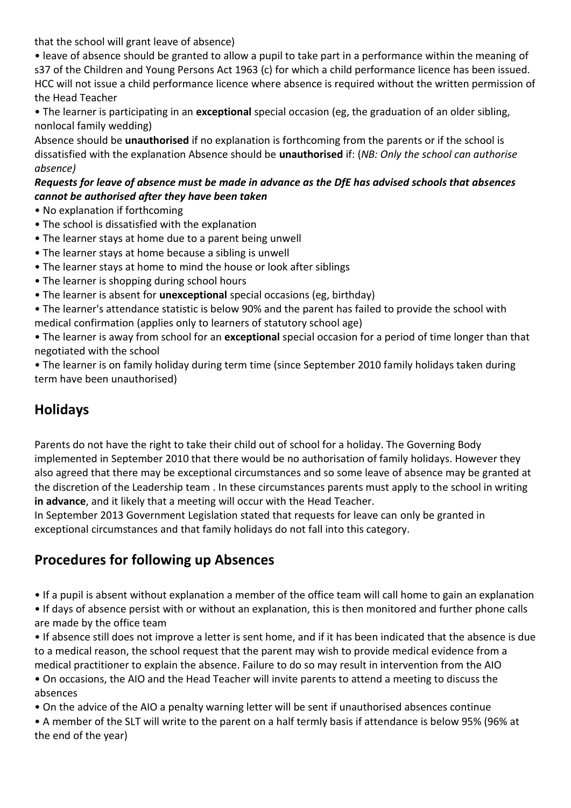that the school will grant leave of absence)

• leave of absence should be granted to allow a pupil to take part in a performance within the meaning of s37 of the Children and Young Persons Act 1963 (c) for which a child performance licence has been issued. HCC will not issue a child performance licence where absence is required without the written permission of the Head Teacher

• The learner is participating in an **exceptional** special occasion (eg, the graduation of an older sibling, nonlocal family wedding)

Absence should be **unauthorised** if no explanation is forthcoming from the parents or if the school is dissatisfied with the explanation Absence should be **unauthorised** if: (*NB: Only the school can authorise absence)*

#### *Requests for leave of absence must be made in advance as the DfE has advised schools that absences cannot be authorised after they have been taken*

- No explanation if forthcoming
- The school is dissatisfied with the explanation
- The learner stays at home due to a parent being unwell
- The learner stays at home because a sibling is unwell
- The learner stays at home to mind the house or look after siblings
- The learner is shopping during school hours
- The learner is absent for **unexceptional** special occasions (eg, birthday)
- The learner's attendance statistic is below 90% and the parent has failed to provide the school with medical confirmation (applies only to learners of statutory school age)

• The learner is away from school for an **exceptional** special occasion for a period of time longer than that negotiated with the school

• The learner is on family holiday during term time (since September 2010 family holidays taken during term have been unauthorised)

# **Holidays**

Parents do not have the right to take their child out of school for a holiday. The Governing Body implemented in September 2010 that there would be no authorisation of family holidays. However they also agreed that there may be exceptional circumstances and so some leave of absence may be granted at the discretion of the Leadership team . In these circumstances parents must apply to the school in writing **in advance**, and it likely that a meeting will occur with the Head Teacher.

In September 2013 Government Legislation stated that requests for leave can only be granted in exceptional circumstances and that family holidays do not fall into this category.

#### **Procedures for following up Absences**

• If a pupil is absent without explanation a member of the office team will call home to gain an explanation

• If days of absence persist with or without an explanation, this is then monitored and further phone calls are made by the office team

• If absence still does not improve a letter is sent home, and if it has been indicated that the absence is due to a medical reason, the school request that the parent may wish to provide medical evidence from a medical practitioner to explain the absence. Failure to do so may result in intervention from the AIO

• On occasions, the AIO and the Head Teacher will invite parents to attend a meeting to discuss the absences

• On the advice of the AIO a penalty warning letter will be sent if unauthorised absences continue

• A member of the SLT will write to the parent on a half termly basis if attendance is below 95% (96% at the end of the year)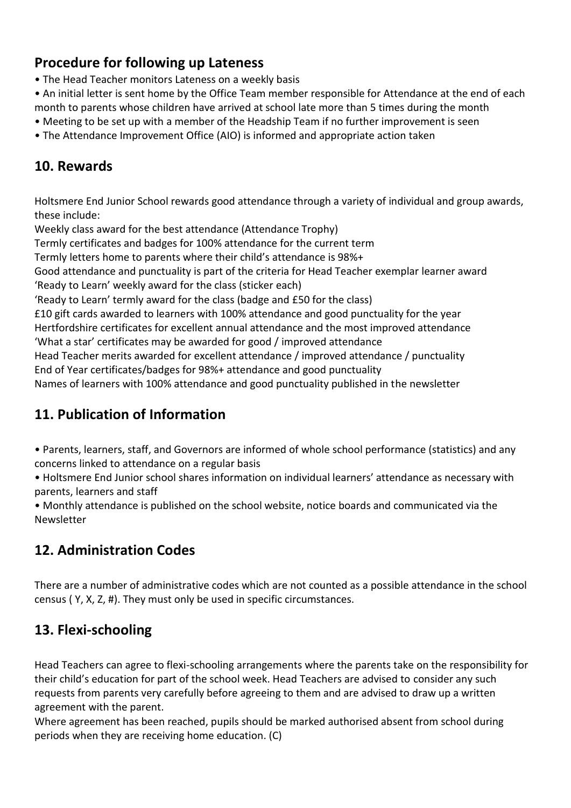## **Procedure for following up Lateness**

- The Head Teacher monitors Lateness on a weekly basis
- An initial letter is sent home by the Office Team member responsible for Attendance at the end of each month to parents whose children have arrived at school late more than 5 times during the month
- Meeting to be set up with a member of the Headship Team if no further improvement is seen
- The Attendance Improvement Office (AIO) is informed and appropriate action taken

#### **10. Rewards**

Holtsmere End Junior School rewards good attendance through a variety of individual and group awards, these include:

Weekly class award for the best attendance (Attendance Trophy)

Termly certificates and badges for 100% attendance for the current term

Termly letters home to parents where their child's attendance is 98%+

Good attendance and punctuality is part of the criteria for Head Teacher exemplar learner award 'Ready to Learn' weekly award for the class (sticker each)

'Ready to Learn' termly award for the class (badge and £50 for the class)

£10 gift cards awarded to learners with 100% attendance and good punctuality for the year Hertfordshire certificates for excellent annual attendance and the most improved attendance 'What a star' certificates may be awarded for good / improved attendance

Head Teacher merits awarded for excellent attendance / improved attendance / punctuality End of Year certificates/badges for 98%+ attendance and good punctuality

Names of learners with 100% attendance and good punctuality published in the newsletter

# **11. Publication of Information**

• Parents, learners, staff, and Governors are informed of whole school performance (statistics) and any concerns linked to attendance on a regular basis

• Holtsmere End Junior school shares information on individual learners' attendance as necessary with parents, learners and staff

• Monthly attendance is published on the school website, notice boards and communicated via the Newsletter

# **12. Administration Codes**

There are a number of administrative codes which are not counted as a possible attendance in the school census ( Y, X, Z, #). They must only be used in specific circumstances.

#### **13. Flexi-schooling**

Head Teachers can agree to flexi-schooling arrangements where the parents take on the responsibility for their child's education for part of the school week. Head Teachers are advised to consider any such requests from parents very carefully before agreeing to them and are advised to draw up a written agreement with the parent.

Where agreement has been reached, pupils should be marked authorised absent from school during periods when they are receiving home education. (C)